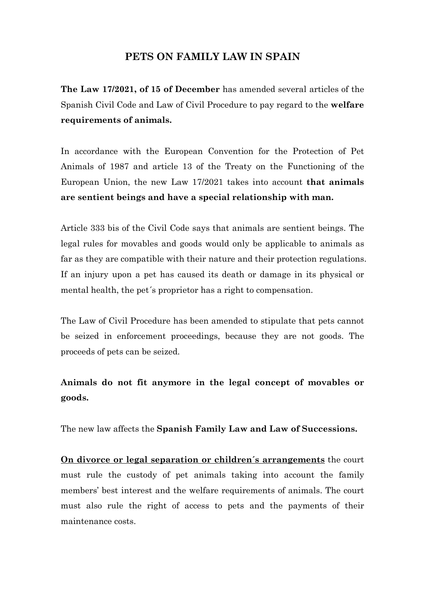## **PETS ON FAMILY LAW IN SPAIN**

**The Law 17/2021, of 15 of December** has amended several articles of the Spanish Civil Code and Law of Civil Procedure to pay regard to the **welfare requirements of animals.**

In accordance with the European Convention for the Protection of Pet Animals of 1987 and article 13 of the Treaty on the Functioning of the European Union, the new Law 17/2021 takes into account **that animals are sentient beings and have a special relationship with man.**

Article 333 bis of the Civil Code says that animals are sentient beings. The legal rules for movables and goods would only be applicable to animals as far as they are compatible with their nature and their protection regulations. If an injury upon a pet has caused its death or damage in its physical or mental health, the pet´s proprietor has a right to compensation.

The Law of Civil Procedure has been amended to stipulate that pets cannot be seized in enforcement proceedings, because they are not goods. The proceeds of pets can be seized.

## **Animals do not fit anymore in the legal concept of movables or goods.**

The new law affects the **Spanish Family Law and Law of Successions.**

**On divorce or legal separation or children´s arrangements** the court must rule the custody of pet animals taking into account the family members' best interest and the welfare requirements of animals. The court must also rule the right of access to pets and the payments of their maintenance costs.